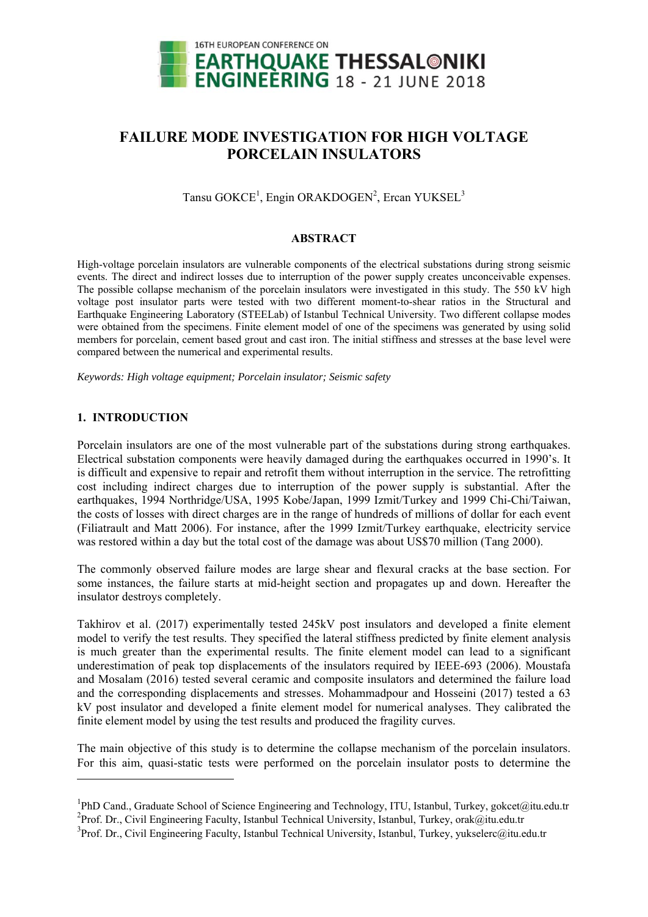

# **FAILURE MODE INVESTIGATION FOR HIGH VOLTAGE PORCELAIN INSULATORS**

Tansu GOKCE<sup>1</sup>, Engin ORAKDOGEN<sup>2</sup>, Ercan YUKSEL<sup>3</sup>

#### **ABSTRACT**

High-voltage porcelain insulators are vulnerable components of the electrical substations during strong seismic events. The direct and indirect losses due to interruption of the power supply creates unconceivable expenses. The possible collapse mechanism of the porcelain insulators were investigated in this study. The 550 kV high voltage post insulator parts were tested with two different moment-to-shear ratios in the Structural and Earthquake Engineering Laboratory (STEELab) of Istanbul Technical University. Two different collapse modes were obtained from the specimens. Finite element model of one of the specimens was generated by using solid members for porcelain, cement based grout and cast iron. The initial stiffness and stresses at the base level were compared between the numerical and experimental results.

*Keywords: High voltage equipment; Porcelain insulator; Seismic safety* 

### **1. INTRODUCTION**

1

Porcelain insulators are one of the most vulnerable part of the substations during strong earthquakes. Electrical substation components were heavily damaged during the earthquakes occurred in 1990's. It is difficult and expensive to repair and retrofit them without interruption in the service. The retrofitting cost including indirect charges due to interruption of the power supply is substantial. After the earthquakes, 1994 Northridge/USA, 1995 Kobe/Japan, 1999 Izmit/Turkey and 1999 Chi-Chi/Taiwan, the costs of losses with direct charges are in the range of hundreds of millions of dollar for each event (Filiatrault and Matt 2006). For instance, after the 1999 Izmit/Turkey earthquake, electricity service was restored within a day but the total cost of the damage was about US\$70 million (Tang 2000).

The commonly observed failure modes are large shear and flexural cracks at the base section. For some instances, the failure starts at mid-height section and propagates up and down. Hereafter the insulator destroys completely.

Takhirov et al. (2017) experimentally tested 245kV post insulators and developed a finite element model to verify the test results. They specified the lateral stiffness predicted by finite element analysis is much greater than the experimental results. The finite element model can lead to a significant underestimation of peak top displacements of the insulators required by IEEE-693 (2006). Moustafa and Mosalam (2016) tested several ceramic and composite insulators and determined the failure load and the corresponding displacements and stresses. Mohammadpour and Hosseini (2017) tested a 63 kV post insulator and developed a finite element model for numerical analyses. They calibrated the finite element model by using the test results and produced the fragility curves.

The main objective of this study is to determine the collapse mechanism of the porcelain insulators. For this aim, quasi-static tests were performed on the porcelain insulator posts to determine the

<sup>&</sup>lt;sup>1</sup>PhD Cand., Graduate School of Science Engineering and Technology, ITU, Istanbul, Turkey, gokcet@itu.edu.tr <sup>2</sup>Prof. Dr., Civil Engineering Faculty, Istanbul Technical University, Istanbul, Turkey, orak@itu.edu.tr

<sup>&</sup>lt;sup>3</sup>Prof. Dr., Civil Engineering Faculty, Istanbul Technical University, Istanbul, Turkey, yukselerc@itu.edu.tr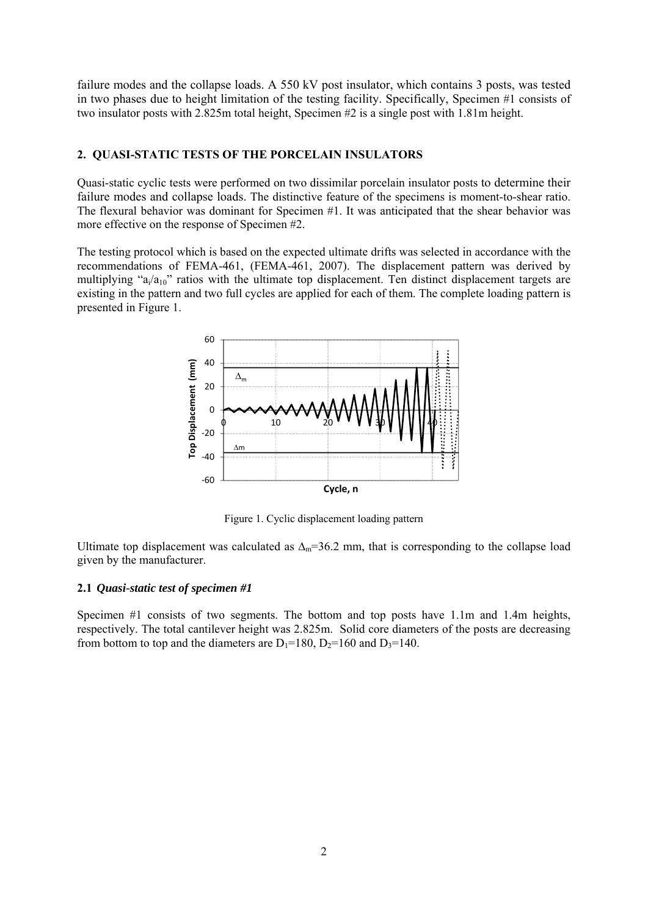failure modes and the collapse loads. A 550 kV post insulator, which contains 3 posts, was tested in two phases due to height limitation of the testing facility. Specifically, Specimen #1 consists of two insulator posts with 2.825m total height, Specimen #2 is a single post with 1.81m height.

### **2. QUASI-STATIC TESTS OF THE PORCELAIN INSULATORS**

Quasi-static cyclic tests were performed on two dissimilar porcelain insulator posts to determine their failure modes and collapse loads. The distinctive feature of the specimens is moment-to-shear ratio. The flexural behavior was dominant for Specimen #1. It was anticipated that the shear behavior was more effective on the response of Specimen #2.

The testing protocol which is based on the expected ultimate drifts was selected in accordance with the recommendations of FEMA-461, (FEMA-461, 2007). The displacement pattern was derived by multiplying " $a_i/a_{10}$ " ratios with the ultimate top displacement. Ten distinct displacement targets are existing in the pattern and two full cycles are applied for each of them. The complete loading pattern is presented in Figure 1.



Figure 1. Cyclic displacement loading pattern

Ultimate top displacement was calculated as  $\Delta_m=36.2$  mm, that is corresponding to the collapse load given by the manufacturer.

#### **2.1** *Quasi-static test of specimen #1*

Specimen #1 consists of two segments. The bottom and top posts have 1.1m and 1.4m heights, respectively. The total cantilever height was 2.825m. Solid core diameters of the posts are decreasing from bottom to top and the diameters are  $D_1=180$ ,  $D_2=160$  and  $D_3=140$ .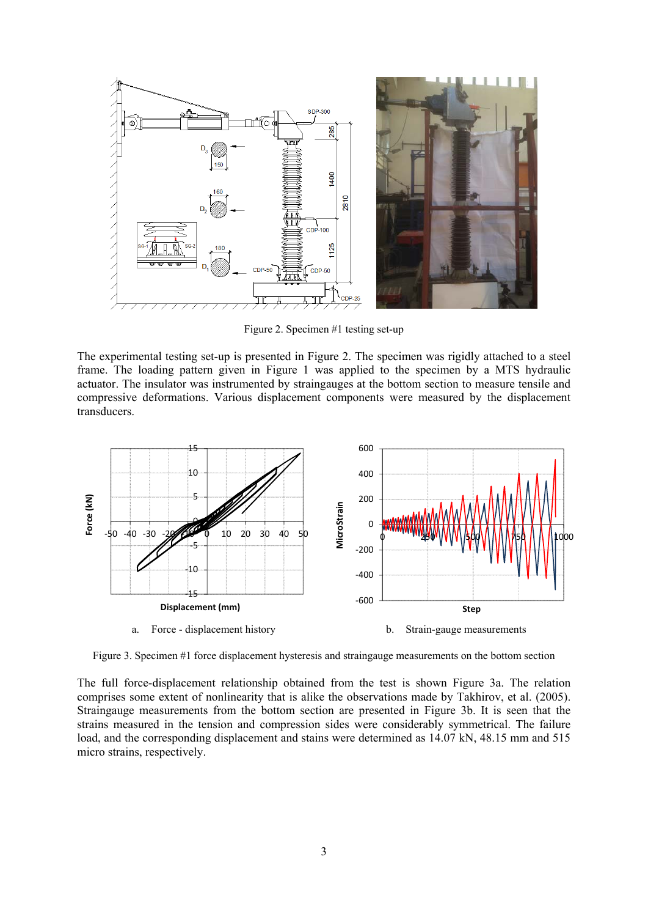

Figure 2. Specimen #1 testing set-up

The experimental testing set-up is presented in Figure 2. The specimen was rigidly attached to a steel frame. The loading pattern given in Figure 1 was applied to the specimen by a MTS hydraulic actuator. The insulator was instrumented by straingauges at the bottom section to measure tensile and compressive deformations. Various displacement components were measured by the displacement transducers.



Figure 3. Specimen #1 force displacement hysteresis and straingauge measurements on the bottom section

The full force-displacement relationship obtained from the test is shown Figure 3a. The relation comprises some extent of nonlinearity that is alike the observations made by Takhirov, et al. (2005). Straingauge measurements from the bottom section are presented in Figure 3b. It is seen that the strains measured in the tension and compression sides were considerably symmetrical. The failure load, and the corresponding displacement and stains were determined as 14.07 kN, 48.15 mm and 515 micro strains, respectively.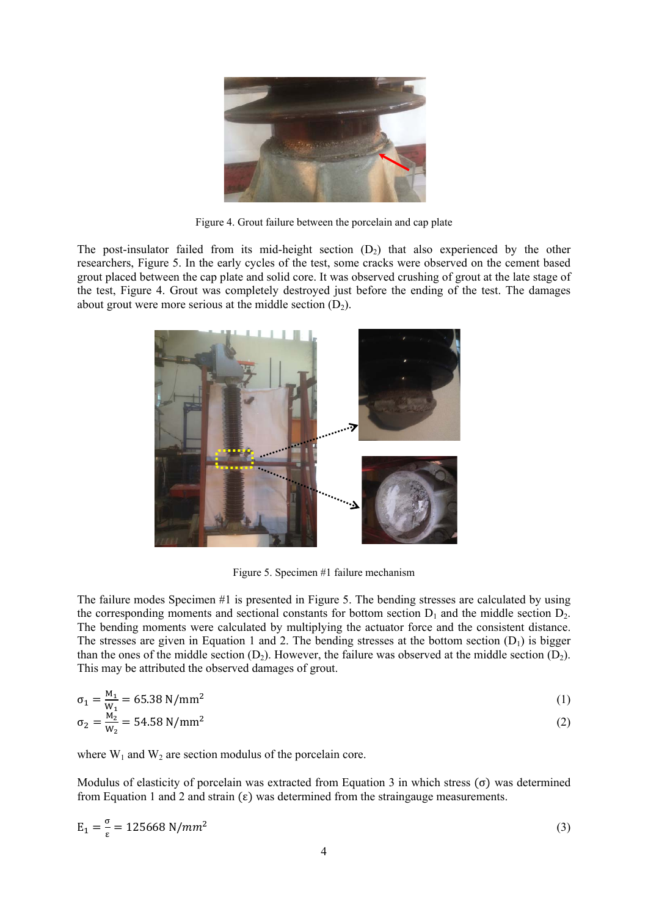

Figure 4. Grout failure between the porcelain and cap plate

The post-insulator failed from its mid-height section  $(D_2)$  that also experienced by the other researchers, Figure 5. In the early cycles of the test, some cracks were observed on the cement based grout placed between the cap plate and solid core. It was observed crushing of grout at the late stage of the test, Figure 4. Grout was completely destroyed just before the ending of the test. The damages about grout were more serious at the middle section  $(D_2)$ .



Figure 5. Specimen #1 failure mechanism

The failure modes Specimen #1 is presented in Figure 5. The bending stresses are calculated by using the corresponding moments and sectional constants for bottom section  $D_1$  and the middle section  $D_2$ . The bending moments were calculated by multiplying the actuator force and the consistent distance. The stresses are given in Equation 1 and 2. The bending stresses at the bottom section  $(D_1)$  is bigger than the ones of the middle section  $(D_2)$ . However, the failure was observed at the middle section  $(D_2)$ . This may be attributed the observed damages of grout.

$$
\sigma_1 = \frac{M_1}{W_1} = 65.38 \text{ N/mm}^2 \tag{1}
$$
  
\n
$$
\sigma_2 = \frac{M_2}{W_2} = 54.58 \text{ N/mm}^2 \tag{2}
$$

where  $W_1$  and  $W_2$  are section modulus of the porcelain core.

Modulus of elasticity of porcelain was extracted from Equation 3 in which stress  $(\sigma)$  was determined from Equation 1 and 2 and strain  $(\epsilon)$  was determined from the straingauge measurements.

$$
E_1 = \frac{\sigma}{\varepsilon} = 125668 \text{ N/mm}^2 \tag{3}
$$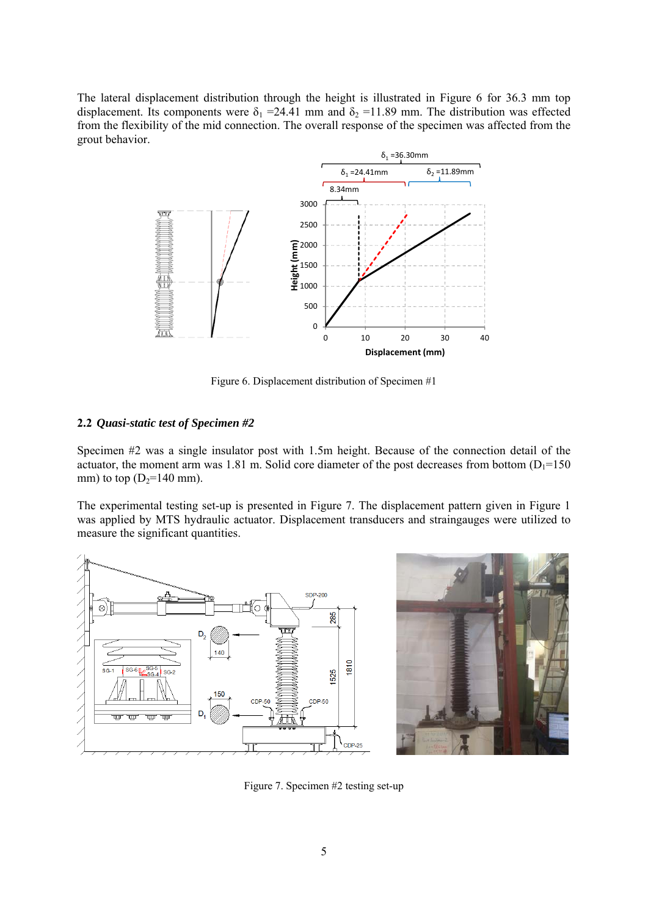The lateral displacement distribution through the height is illustrated in Figure 6 for 36.3 mm top displacement. Its components were  $\delta_1$  =24.41 mm and  $\delta_2$  =11.89 mm. The distribution was effected from the flexibility of the mid connection. The overall response of the specimen was affected from the grout behavior.



Figure 6. Displacement distribution of Specimen #1

## **2.2** *Quasi-static test of Specimen #2*

Specimen #2 was a single insulator post with 1.5m height. Because of the connection detail of the actuator, the moment arm was 1.81 m. Solid core diameter of the post decreases from bottom  $(D_1=150)$ mm) to top  $(D_2=140 \text{ mm})$ .

The experimental testing set-up is presented in Figure 7. The displacement pattern given in Figure 1 was applied by MTS hydraulic actuator. Displacement transducers and straingauges were utilized to measure the significant quantities.





Figure 7. Specimen #2 testing set-up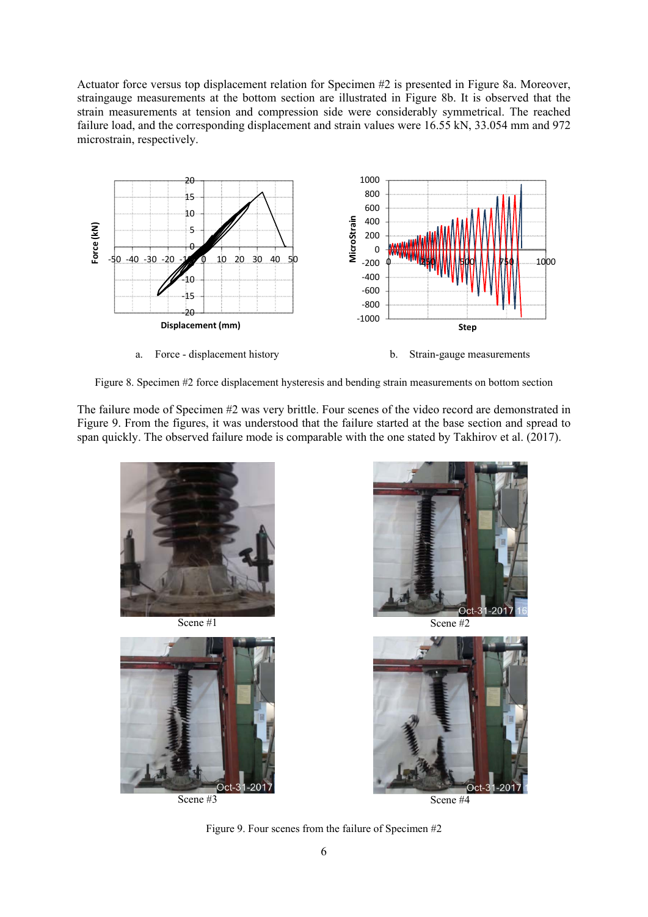Actuator force versus top displacement relation for Specimen #2 is presented in Figure 8a. Moreover, straingauge measurements at the bottom section are illustrated in Figure 8b. It is observed that the strain measurements at tension and compression side were considerably symmetrical. The reached failure load, and the corresponding displacement and strain values were 16.55 kN, 33.054 mm and 972 microstrain, respectively.



Figure 8. Specimen #2 force displacement hysteresis and bending strain measurements on bottom section

The failure mode of Specimen #2 was very brittle. Four scenes of the video record are demonstrated in Figure 9. From the figures, it was understood that the failure started at the base section and spread to span quickly. The observed failure mode is comparable with the one stated by Takhirov et al. (2017).





 $2<sup>c</sup>$ Oct



Figure 9. Four scenes from the failure of Specimen #2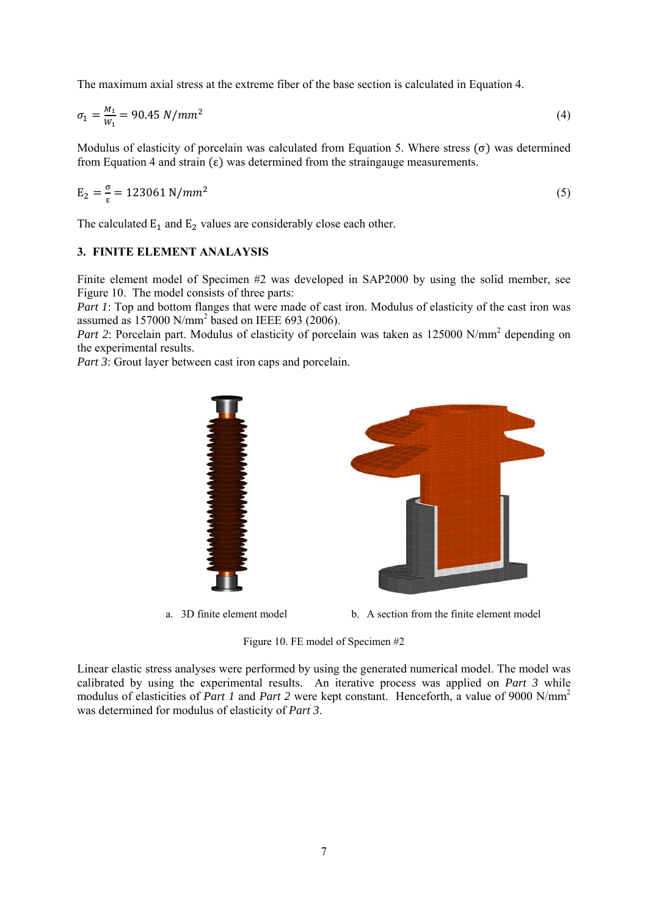The maximum axial stress at the extreme fiber of the base section is calculated in Equation 4.

$$
\sigma_1 = \frac{M_1}{W_1} = 90.45 \, N/mm^2 \tag{4}
$$

Modulus of elasticity of porcelain was calculated from Equation 5. Where stress  $(\sigma)$  was determined from Equation 4 and strain (ε) was determined from the straingauge measurements.

$$
E_2 = \frac{\sigma}{\varepsilon} = 123061 \, \text{N/mm}^2 \tag{5}
$$

The calculated  $E_1$  and  $E_2$  values are considerably close each other.

### **3. FINITE ELEMENT ANALAYSIS**

Finite element model of Specimen #2 was developed in SAP2000 by using the solid member, see Figure 10. The model consists of three parts:

*Part 1*: Top and bottom flanges that were made of cast iron. Modulus of elasticity of the cast iron was assumed as  $157000$  N/mm<sup>2</sup> based on IEEE 693 (2006).

Part 2: Porcelain part. Modulus of elasticity of porcelain was taken as 125000 N/mm<sup>2</sup> depending on the experimental results.

*Part 3*: Grout layer between cast iron caps and porcelain.



a. 3D finite element model b. A section from the finite element model

Figure 10. FE model of Specimen #2

Linear elastic stress analyses were performed by using the generated numerical model. The model was calibrated by using the experimental results. An iterative process was applied on *Part 3* while modulus of elasticities of *Part 1* and *Part 2* were kept constant. Henceforth, a value of 9000 N/mm<sup>2</sup> was determined for modulus of elasticity of *Part 3*.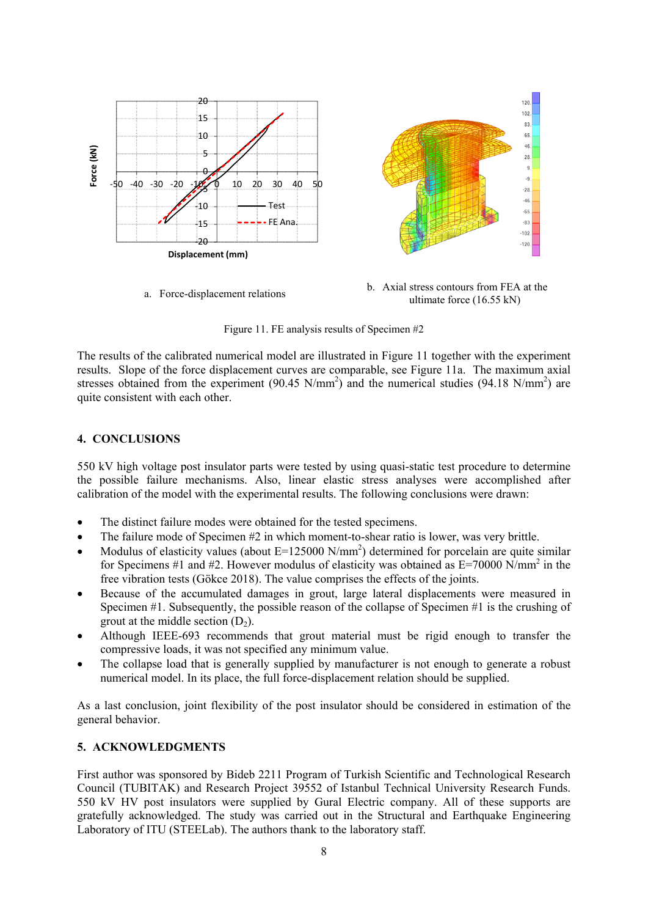

ultimate force (16.55 kN)

Figure 11. FE analysis results of Specimen #2

The results of the calibrated numerical model are illustrated in Figure 11 together with the experiment results. Slope of the force displacement curves are comparable, see Figure 11a. The maximum axial stresses obtained from the experiment  $(90.45 \text{ N/mm}^2)$  and the numerical studies  $(94.18 \text{ N/mm}^2)$  are quite consistent with each other.

# **4. CONCLUSIONS**

550 kV high voltage post insulator parts were tested by using quasi-static test procedure to determine the possible failure mechanisms. Also, linear elastic stress analyses were accomplished after calibration of the model with the experimental results. The following conclusions were drawn:

- The distinct failure modes were obtained for the tested specimens.
- $\bullet$  The failure mode of Specimen  $\#2$  in which moment-to-shear ratio is lower, was very brittle.
- Modulus of elasticity values (about  $E=125000 \text{ N/mm}^2$ ) determined for porcelain are quite similar for Specimens #1 and #2. However modulus of elasticity was obtained as  $E=70000 \text{ N/mm}^2$  in the free vibration tests (Gökce 2018). The value comprises the effects of the joints.
- Because of the accumulated damages in grout, large lateral displacements were measured in Specimen #1. Subsequently, the possible reason of the collapse of Specimen #1 is the crushing of grout at the middle section  $(D_2)$ .
- Although IEEE-693 recommends that grout material must be rigid enough to transfer the compressive loads, it was not specified any minimum value.
- The collapse load that is generally supplied by manufacturer is not enough to generate a robust numerical model. In its place, the full force-displacement relation should be supplied.

As a last conclusion, joint flexibility of the post insulator should be considered in estimation of the general behavior.

# **5. ACKNOWLEDGMENTS**

First author was sponsored by Bideb 2211 Program of Turkish Scientific and Technological Research Council (TUBITAK) and Research Project 39552 of Istanbul Technical University Research Funds. 550 kV HV post insulators were supplied by Gural Electric company. All of these supports are gratefully acknowledged. The study was carried out in the Structural and Earthquake Engineering Laboratory of ITU (STEELab). The authors thank to the laboratory staff.